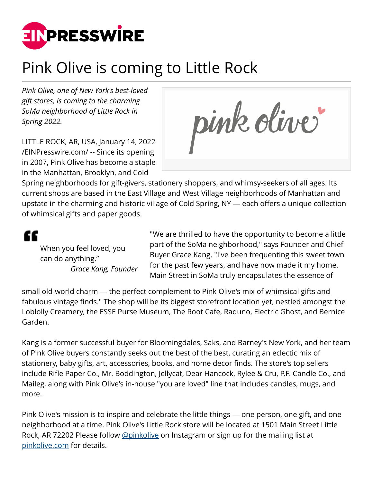

## Pink Olive is coming to Little Rock

*Pink Olive, one of New York's best-loved gift stores, is coming to the charming SoMa neighborhood of Little Rock in Spring 2022.*

LITTLE ROCK, AR, USA, January 14, 2022 [/EINPresswire.com/](http://www.einpresswire.com) -- Since its opening in 2007, Pink Olive has become a staple in the Manhattan, Brooklyn, and Cold

pink oliver

Spring neighborhoods for gift-givers, stationery shoppers, and whimsy-seekers of all ages. Its current shops are based in the East Village and West Village neighborhoods of Manhattan and upstate in the charming and historic village of Cold Spring, NY — each offers a unique collection of whimsical gifts and paper goods.

## ££

When you feel loved, you can do anything." *Grace Kang, Founder*

"We are thrilled to have the opportunity to become a little part of the SoMa neighborhood," says Founder and Chief Buyer Grace Kang. "I've been frequenting this sweet town for the past few years, and have now made it my home. Main Street in SoMa truly encapsulates the essence of

small old-world charm — the perfect complement to Pink Olive's mix of whimsical gifts and fabulous vintage finds." The shop will be its biggest storefront location yet, nestled amongst the Loblolly Creamery, the ESSE Purse Museum, The Root Cafe, Raduno, Electric Ghost, and Bernice Garden.

Kang is a former successful buyer for Bloomingdales, Saks, and Barney's New York, and her team of Pink Olive buyers constantly seeks out the best of the best, curating an eclectic mix of stationery, baby gifts, art, accessories, books, and home decor finds. The store's top sellers include Rifle Paper Co., Mr. Boddington, Jellycat, Dear Hancock, Rylee & Cru, P.F. Candle Co., and Maileg, along with Pink Olive's in-house "you are loved" line that includes candles, mugs, and more.

Pink Olive's mission is to inspire and celebrate the little things — one person, one gift, and one neighborhood at a time. Pink Olive's Little Rock store will be located at 1501 Main Street Little Rock, AR 72202 Please follow [@pinkolive](http://instagram.com/pinkolive) on Instagram or sign up for the mailing list at [pinkolive.com](http://pinkolive.com) for details.